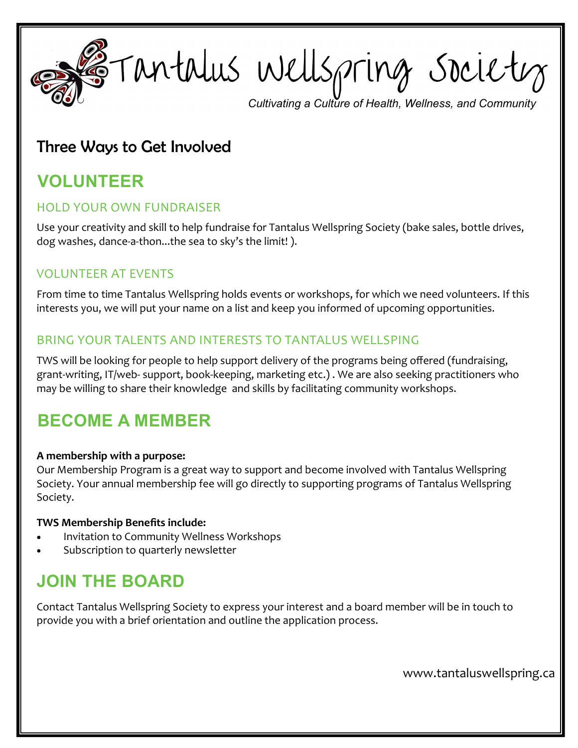**Continues Wells pring** Society

## Three Ways to Get Involved

# **VOLUNTEER**

#### HOLD YOUR OWN FUNDRAISER

Use your creativity and skill to help fundraise for Tantalus Wellspring Society (bake sales, bottle drives, dog washes, dance-a-thon...the sea to sky's the limit! ).

## VOLUNTEER AT EVENTS

From time to time Tantalus Wellspring holds events or workshops, for which we need volunteers. If this interests you, we will put your name on a list and keep you informed of upcoming opportunities.

### BRING YOUR TALENTS AND INTERESTS TO TANTALUS WELLSPING

TWS will be looking for people to help support delivery of the programs being offered (fundraising, grant-writing, IT/web- support, book-keeping, marketing etc.) . We are also seeking practitioners who may be willing to share their knowledge and skills by facilitating community workshops.

## **BECOME A MEMBER**

#### **A membership with a purpose:**

Our Membership Program is a great way to support and become involved with Tantalus Wellspring Society. Your annual membership fee will go directly to supporting programs of Tantalus Wellspring Society.

#### **TWS Membership Benefits include:**

- Invitation to Community Wellness Workshops
- Subscription to quarterly newsletter

## **JOIN THE BOARD**

Contact Tantalus Wellspring Society to express your interest and a board member will be in touch to provide you with a brief orientation and outline the application process.

www.tantaluswellspring.ca